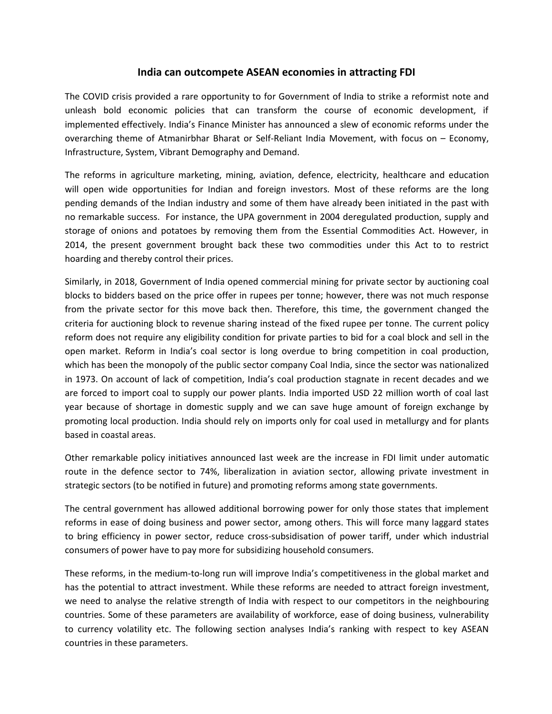# **India can outcompete ASEAN economies in attracting FDI**

The COVID crisis provided a rare opportunity to for Government of India to strike a reformist note and unleash bold economic policies that can transform the course of economic development, if implemented effectively. India's Finance Minister has announced a slew of economic reforms under the overarching theme of Atmanirbhar Bharat or Self-Reliant India Movement, with focus on – Economy, Infrastructure, System, Vibrant Demography and Demand.

The reforms in agriculture marketing, mining, aviation, defence, electricity, healthcare and education will open wide opportunities for Indian and foreign investors. Most of these reforms are the long pending demands of the Indian industry and some of them have already been initiated in the past with no remarkable success. For instance, the UPA government in 2004 deregulated production, supply and storage of onions and potatoes by removing them from the Essential Commodities Act. However, in 2014, the present government brought back these two commodities under this Act to to restrict hoarding and thereby control their prices.

Similarly, in 2018, Government of India opened commercial mining for private sector by auctioning coal blocks to bidders based on the price offer in rupees per tonne; however, there was not much response from the private sector for this move back then. Therefore, this time, the government changed the criteria for auctioning block to revenue sharing instead of the fixed rupee per tonne. The current policy reform does not require any eligibility condition for private parties to bid for a coal block and sell in the open market. Reform in India's coal sector is long overdue to bring competition in coal production, which has been the monopoly of the public sector company Coal India, since the sector was nationalized in 1973. On account of lack of competition, India's coal production stagnate in recent decades and we are forced to import coal to supply our power plants. India imported USD 22 million worth of coal last year because of shortage in domestic supply and we can save huge amount of foreign exchange by promoting local production. India should rely on imports only for coal used in metallurgy and for plants based in coastal areas.

Other remarkable policy initiatives announced last week are the increase in FDI limit under automatic route in the defence sector to 74%, liberalization in aviation sector, allowing private investment in strategic sectors (to be notified in future) and promoting reforms among state governments.

The central government has allowed additional borrowing power for only those states that implement reforms in ease of doing business and power sector, among others. This will force many laggard states to bring efficiency in power sector, reduce cross-subsidisation of power tariff, under which industrial consumers of power have to pay more for subsidizing household consumers.

These reforms, in the medium-to-long run will improve India's competitiveness in the global market and has the potential to attract investment. While these reforms are needed to attract foreign investment, we need to analyse the relative strength of India with respect to our competitors in the neighbouring countries. Some of these parameters are availability of workforce, ease of doing business, vulnerability to currency volatility etc. The following section analyses India's ranking with respect to key ASEAN countries in these parameters.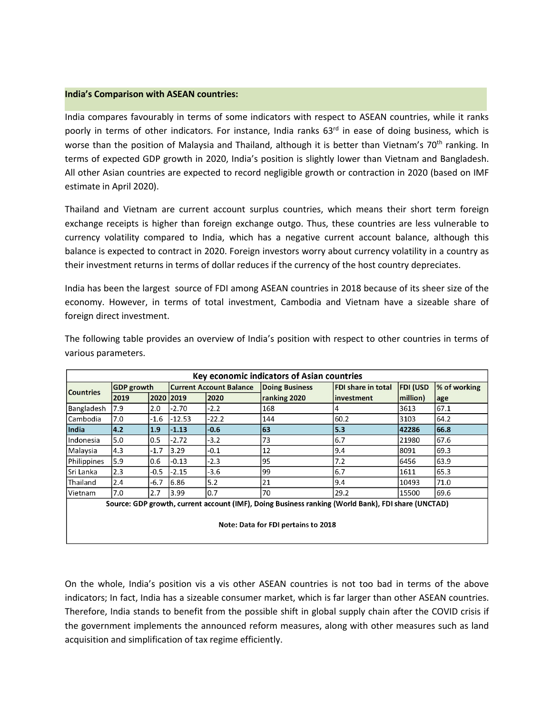### **India's Comparison with ASEAN countries:**

India compares favourably in terms of some indicators with respect to ASEAN countries, while it ranks poorly in terms of other indicators. For instance, India ranks 63<sup>rd</sup> in ease of doing business, which is worse than the position of Malaysia and Thailand, although it is better than Vietnam's 70<sup>th</sup> ranking. In terms of expected GDP growth in 2020, India's position is slightly lower than Vietnam and Bangladesh.<br>All other Asian countries are expected to record negligible growth or contraction in 2020 (based on IMF estimate in April 2020).

Thailand and Vietnam are current account surplus countries, which means their short term foreign exchange receipts is higher than foreign exchange outgo. Thus, these countries are less vulnerable to currency volatility compared to India, which has a negative current account balance, although this balance is expected to contractin 2020. Foreign investors worry about currency volatility in a country as their investment returns in terms of dollar reduces if the currency of the host country depreciates.

India has been the largest source of FDI among ASEAN countries in 2018 because of its sheer size of the economy. However, in terms of total investment, Cambodia and Vietnam have a sizeable share of foreign direct investment.

| Key economic indicators of Asian countries                                                         |                   |        |                                |         |                       |                           |                 |              |
|----------------------------------------------------------------------------------------------------|-------------------|--------|--------------------------------|---------|-----------------------|---------------------------|-----------------|--------------|
| <b>Countries</b>                                                                                   | <b>GDP</b> growth |        | <b>Current Account Balance</b> |         | <b>Doing Business</b> | <b>FDI share in total</b> | <b>FDI (USD</b> | % of working |
|                                                                                                    | 2019              | 2020   | 2019                           | 2020    | ranking 2020          | linvestment               | million)        | age          |
| Bangladesh                                                                                         | 7.9               | 2.0    | -2.70                          | $-2.2$  | 168                   | 4                         | 3613            | 67.1         |
| Cambodia                                                                                           | 7.0               | $-1.6$ | $-12.53$                       | $-22.2$ | 144                   | 60.2                      | 3103            | 64.2         |
| India                                                                                              | 4.2               | 1.9    | $-1.13$                        | $-0.6$  | 63                    | 5.3                       | 42286           | 66.8         |
| Indonesia                                                                                          | 5.0               | 0.5    | $-2.72$                        | $-3.2$  | 73                    | 6.7                       | 21980           | 67.6         |
| Malaysia                                                                                           | 4.3               | $-1.7$ | 3.29                           | $-0.1$  | 12                    | 9.4                       | 8091            | 69.3         |
| Philippines                                                                                        | 5.9               | 0.6    | $-0.13$                        | $-2.3$  | 95                    | 7.2                       | 6456            | 63.9         |
| lSri Lanka                                                                                         | 2.3               | $-0.5$ | $-2.15$                        | -3.6    | 99                    | 6.7                       | 1611            | 65.3         |
| Thailand                                                                                           | 2.4               | $-6.7$ | 6.86                           | 5.2     | 21                    | 9.4                       | 10493           | 71.0         |
| Vietnam                                                                                            | 7.0               | 2.7    | 3.99                           | l0.7    | 70                    | 29.2                      | 15500           | 69.6         |
| Source: GDP growth, current account (IMF), Doing Business ranking (World Bank), FDI share (UNCTAD) |                   |        |                                |         |                       |                           |                 |              |
| Note: Data for FDI pertains to 2018                                                                |                   |        |                                |         |                       |                           |                 |              |

The following table provides an overview of India's position with respect to other countries in terms of various parameters.

On the whole, India's position vis a vis other ASEAN countries is not too bad in terms of the above indicators; In fact, India has a sizeable consumer market, which is far larger than other ASEAN countries. Therefore, India stands to benefit from the possible shift in global supply chain after the COVID crisis if the government implements the announced reform measures, along with other measures such as land acquisition and simplification of tax regime efficiently.